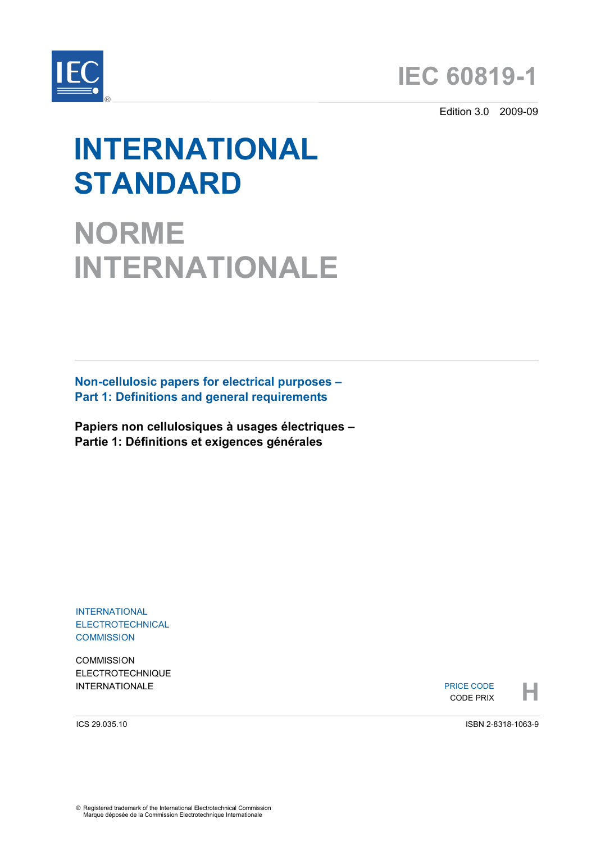



Edition 3.0 2009-09

# **INTERNATIONAL STANDARD**

**NORME INTERNATIONALE**

**Non-cellulosic papers for electrical purposes – Part 1: Definitions and general requirements** 

**Papiers non cellulosiques à usages électriques – Partie 1: Définitions et exigences générales** 

INTERNATIONAL ELECTROTECHNICAL **COMMISSION** 

**COMMISSION** ELECTROTECHNIQUE

INTERNATIONALE PRICE CODE **HARBOURGE CODE RELATION**<br>
THE CODE PRIX PRICE CODE CODE PRIX

ICS 29.035.10

ISBN 2-8318-1063-9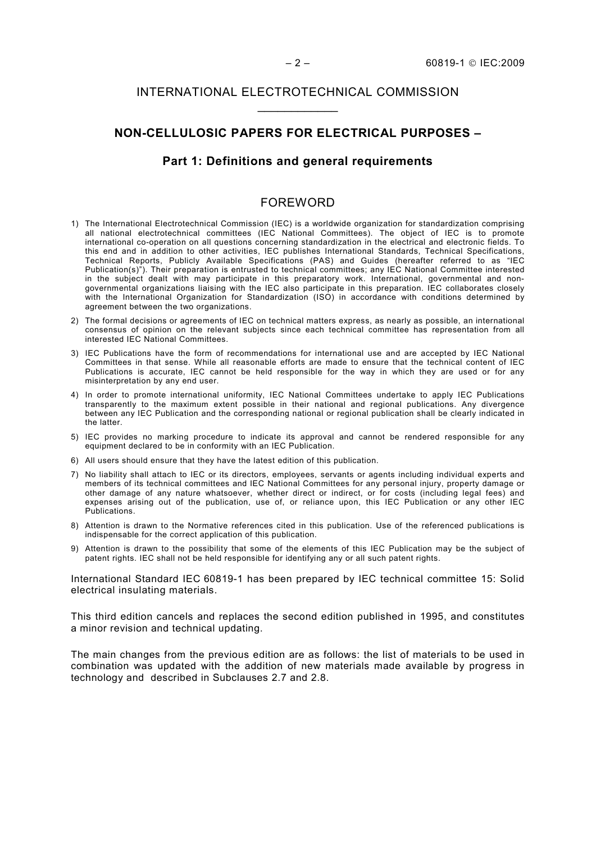## INTERNATIONAL ELECTROTECHNICAL COMMISSION  $\frac{1}{2}$  ,  $\frac{1}{2}$  ,  $\frac{1}{2}$  ,  $\frac{1}{2}$  ,  $\frac{1}{2}$  ,  $\frac{1}{2}$

#### **NON-CELLULOSIC PAPERS FOR ELECTRICAL PURPOSES –**

## **Part 1: Definitions and general requirements**

#### FOREWORD

- 1) The International Electrotechnical Commission (IEC) is a worldwide organization for standardization comprising all national electrotechnical committees (IEC National Committees). The object of IEC is to promote international co-operation on all questions concerning standardization in the electrical and electronic fields. To this end and in addition to other activities, IEC publishes International Standards, Technical Specifications, Technical Reports, Publicly Available Specifications (PAS) and Guides (hereafter referred to as "IEC Publication(s)"). Their preparation is entrusted to technical committees; any IEC National Committee interested in the subject dealt with may participate in this preparatory work. International, governmental and nongovernmental organizations liaising with the IEC also participate in this preparation. IEC collaborates closely with the International Organization for Standardization (ISO) in accordance with conditions determined by agreement between the two organizations.
- 2) The formal decisions or agreements of IEC on technical matters express, as nearly as possible, an international consensus of opinion on the relevant subjects since each technical committee has representation from all interested IEC National Committees.
- 3) IEC Publications have the form of recommendations for international use and are accepted by IEC National Committees in that sense. While all reasonable efforts are made to ensure that the technical content of IEC Publications is accurate, IEC cannot be held responsible for the way in which they are used or for any misinterpretation by any end user.
- 4) In order to promote international uniformity, IEC National Committees undertake to apply IEC Publications transparently to the maximum extent possible in their national and regional publications. Any divergence between any IEC Publication and the corresponding national or regional publication shall be clearly indicated in the latter.
- 5) IEC provides no marking procedure to indicate its approval and cannot be rendered responsible for any equipment declared to be in conformity with an IEC Publication.
- 6) All users should ensure that they have the latest edition of this publication.
- 7) No liability shall attach to IEC or its directors, employees, servants or agents including individual experts and members of its technical committees and IEC National Committees for any personal injury, property damage or other damage of any nature whatsoever, whether direct or indirect, or for costs (including legal fees) and expenses arising out of the publication, use of, or reliance upon, this IEC Publication or any other IEC Publications.
- 8) Attention is drawn to the Normative references cited in this publication. Use of the referenced publications is indispensable for the correct application of this publication.
- 9) Attention is drawn to the possibility that some of the elements of this IEC Publication may be the subject of patent rights. IEC shall not be held responsible for identifying any or all such patent rights.

International Standard IEC 60819-1 has been prepared by IEC technical committee 15: Solid electrical insulating materials.

This third edition cancels and replaces the second edition published in 1995, and constitutes a minor revision and technical updating.

The main changes from the previous edition are as follows: the list of materials to be used in combination was updated with the addition of new materials made available by progress in technology and described in Subclauses 2.7 and 2.8.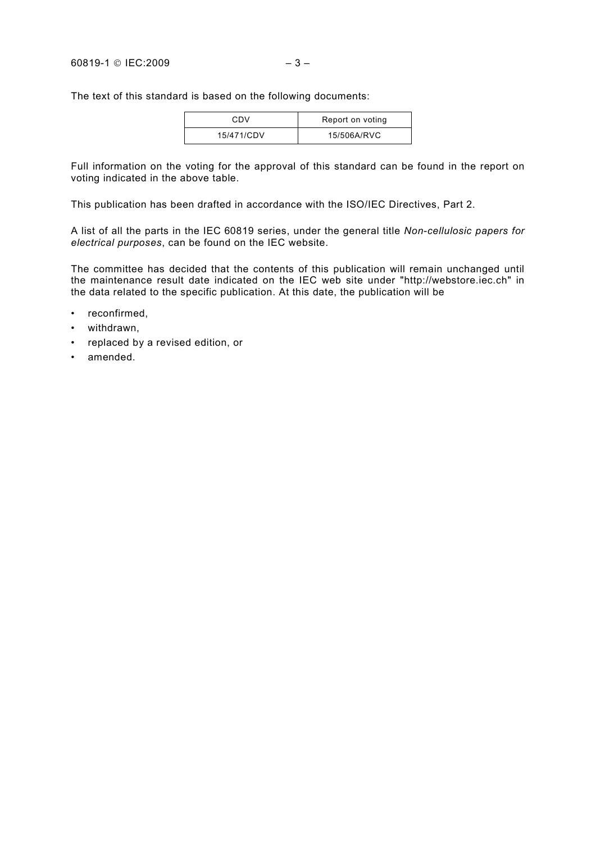The text of this standard is based on the following documents:

| CDV        | Report on voting |
|------------|------------------|
| 15/471/CDV | 15/506A/RVC      |

Full information on the voting for the approval of this standard can be found in the report on voting indicated in the above table.

This publication has been drafted in accordance with the ISO/IEC Directives, Part 2.

A list of all the parts in the IEC 60819 series, under the general title *Non-cellulosic papers for electrical purposes*, can be found on the IEC website.

The committee has decided that the contents of this publication will remain unchanged until the maintenance result date indicated on the IEC web site under "http://webstore.iec.ch" in the data related to the specific publication. At this date, the publication will be

- reconfirmed,
- withdrawn,
- replaced by a revised edition, or
- amended.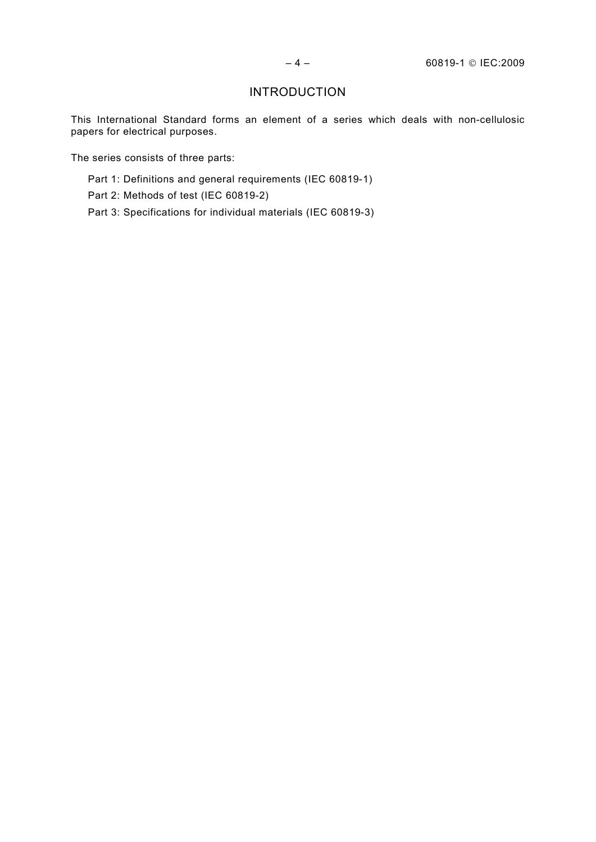# **INTRODUCTION**

This International Standard forms an element of a series which deals with non-cellulosic papers for electrical purposes.

The series consists of three parts:

- Part 1: Definitions and general requirements (IEC 60819-1)
- Part 2: Methods of test (IEC 60819-2)
- Part 3: Specifications for individual materials (IEC 60819-3)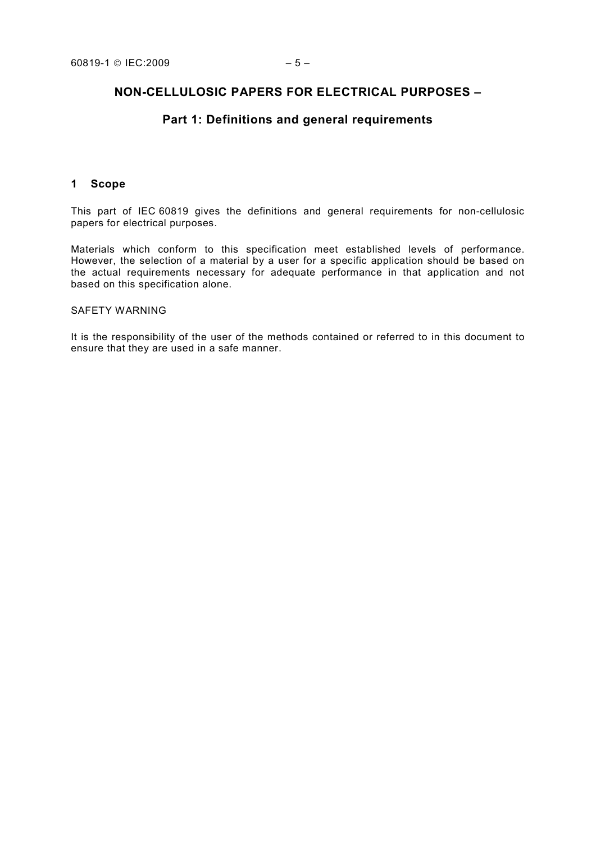# **NON-CELLULOSIC PAPERS FOR ELECTRICAL PURPOSES –**

# **Part 1: Definitions and general requirements**

#### **1 Scope**

This part of IEC 60819 gives the definitions and general requirements for non-cellulosic papers for electrical purposes.

Materials which conform to this specification meet established levels of performance. However, the selection of a material by a user for a specific application should be based on the actual requirements necessary for adequate performance in that application and not based on this specification alone.

#### SAFETY WARNING

It is the responsibility of the user of the methods contained or referred to in this document to ensure that they are used in a safe manner.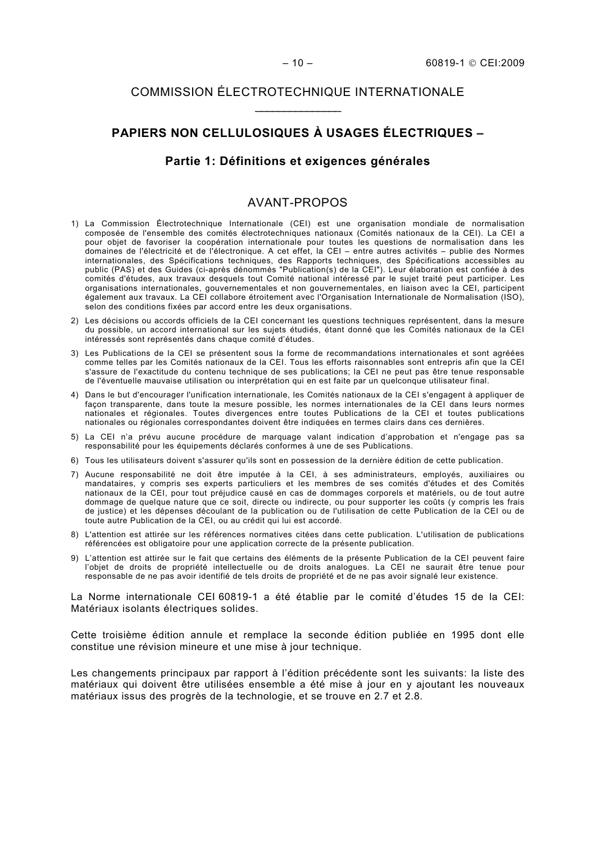# COMMISSION ÉLECTROTECHNIQUE INTERNATIONALE  $\frac{1}{2}$  ,  $\frac{1}{2}$  ,  $\frac{1}{2}$  ,  $\frac{1}{2}$  ,  $\frac{1}{2}$  ,  $\frac{1}{2}$  ,  $\frac{1}{2}$

# **PAPIERS NON CELLULOSIQUES À USAGES ÉLECTRIQUES –**

# **Partie 1: Définitions et exigences générales**

#### AVANT-PROPOS

- 1) La Commission Électrotechnique Internationale (CEI) est une organisation mondiale de normalisation composée de l'ensemble des comités électrotechniques nationaux (Comités nationaux de la CEI). La CEI a pour objet de favoriser la coopération internationale pour toutes les questions de normalisation dans les domaines de l'électricité et de l'électronique. A cet effet, la CEI – entre autres activités – publie des Normes internationales, des Spécifications techniques, des Rapports techniques, des Spécifications accessibles au public (PAS) et des Guides (ci-après dénommés "Publication(s) de la CEI"). Leur élaboration est confiée à des comités d'études, aux travaux desquels tout Comité national intéressé par le sujet traité peut participer. Les organisations internationales, gouvernementales et non gouvernementales, en liaison avec la CEI, participent également aux travaux. La CEI collabore étroitement avec l'Organisation Internationale de Normalisation (ISO), selon des conditions fixées par accord entre les deux organisations.
- 2) Les décisions ou accords officiels de la CEI concernant les questions techniques représentent, dans la mesure du possible, un accord international sur les sujets étudiés, étant donné que les Comités nationaux de la CEI intéressés sont représentés dans chaque comité d'études.
- 3) Les Publications de la CEI se présentent sous la forme de recommandations internationales et sont agréées comme telles par les Comités nationaux de la CEI. Tous les efforts raisonnables sont entrepris afin que la CEI s'assure de l'exactitude du contenu technique de ses publications; la CEI ne peut pas être tenue responsable de l'éventuelle mauvaise utilisation ou interprétation qui en est faite par un quelconque utilisateur final.
- 4) Dans le but d'encourager l'unification internationale, les Comités nationaux de la CEI s'engagent à appliquer de façon transparente, dans toute la mesure possible, les normes internationales de la CEI dans leurs normes nationales et régionales. Toutes divergences entre toutes Publications de la CEI et toutes publications nationales ou régionales correspondantes doivent être indiquées en termes clairs dans ces dernières.
- 5) La CEI n'a prévu aucune procédure de marquage valant indication d'approbation et n'engage pas sa responsabilité pour les équipements déclarés conformes à une de ses Publications.
- 6) Tous les utilisateurs doivent s'assurer qu'ils sont en possession de la dernière édition de cette publication.
- 7) Aucune responsabilité ne doit être imputée à la CEI, à ses administrateurs, employés, auxiliaires ou mandataires, y compris ses experts particuliers et les membres de ses comités d'études et des Comités nationaux de la CEI, pour tout préjudice causé en cas de dommages corporels et matériels, ou de tout autre dommage de quelque nature que ce soit, directe ou indirecte, ou pour supporter les coûts (y compris les frais de justice) et les dépenses découlant de la publication ou de l'utilisation de cette Publication de la CEI ou de toute autre Publication de la CEI, ou au crédit qui lui est accordé.
- 8) L'attention est attirée sur les références normatives citées dans cette publication. L'utilisation de publications référencées est obligatoire pour une application correcte de la présente publication.
- 9) L'attention est attirée sur le fait que certains des éléments de la présente Publication de la CEI peuvent faire l'objet de droits de propriété intellectuelle ou de droits analogues. La CEI ne saurait être tenue pour responsable de ne pas avoir identifié de tels droits de propriété et de ne pas avoir signalé leur existence.

La Norme internationale CEI 60819-1 a été établie par le comité d'études 15 de la CEI: Matériaux isolants électriques solides.

Cette troisième édition annule et remplace la seconde édition publiée en 1995 dont elle constitue une révision mineure et une mise à jour technique.

Les changements principaux par rapport à l'édition précédente sont les suivants: la liste des matériaux qui doivent être utilisées ensemble a été mise à jour en y ajoutant les nouveaux matériaux issus des progrès de la technologie, et se trouve en 2.7 et 2.8.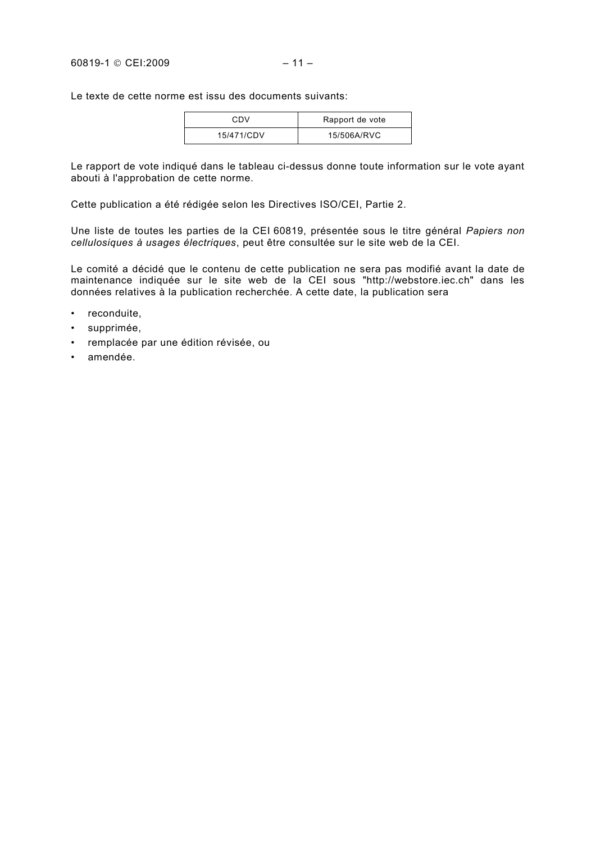Le texte de cette norme est issu des documents suivants:

| CDV        | Rapport de vote |
|------------|-----------------|
| 15/471/CDV | 15/506A/RVC     |

Le rapport de vote indiqué dans le tableau ci-dessus donne toute information sur le vote ayant abouti à l'approbation de cette norme.

Cette publication a été rédigée selon les Directives ISO/CEI, Partie 2.

Une liste de toutes les parties de la CEI 60819, présentée sous le titre général *Papiers non cellulosiques à usages électriques*, peut être consultée sur le site web de la CEI.

Le comité a décidé que le contenu de cette publication ne sera pas modifié avant la date de maintenance indiquée sur le site web de la CEI sous "http://webstore.iec.ch" dans les données relatives à la publication recherchée. A cette date, la publication sera

- reconduite,
- supprimée,
- remplacée par une édition révisée, ou
- amendée.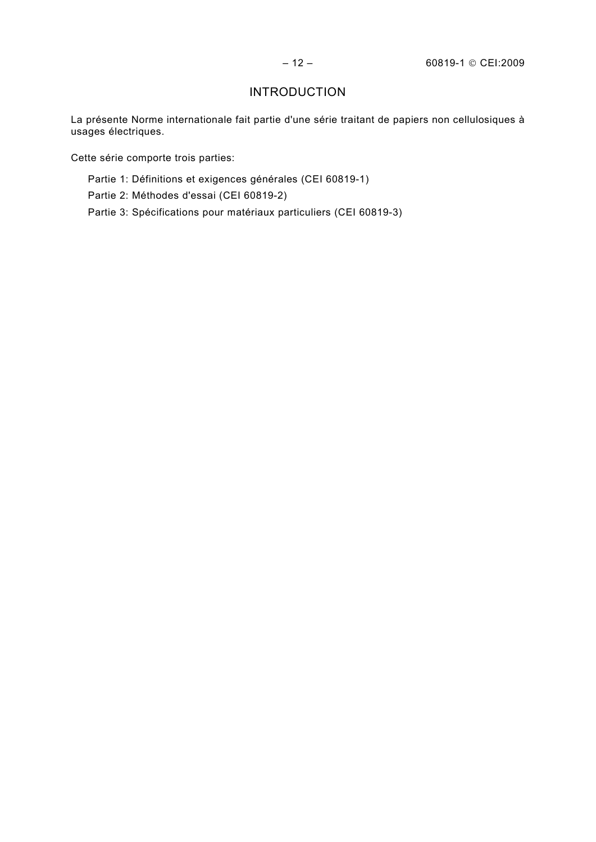# INTRODUCTION

La présente Norme internationale fait partie d'une série traitant de papiers non cellulosiques à usages électriques.

Cette série comporte trois parties:

- Partie 1: Définitions et exigences générales (CEI 60819-1)
- Partie 2: Méthodes d'essai (CEI 60819-2)
- Partie 3: Spécifications pour matériaux particuliers (CEI 60819-3)